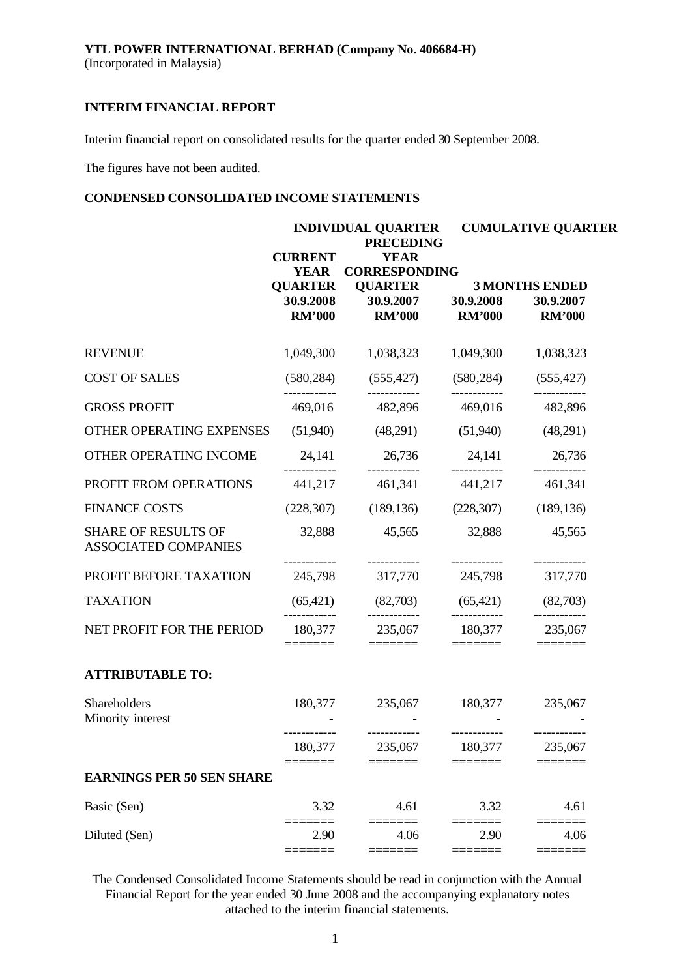Interim financial report on consolidated results for the quarter ended 30 September 2008.

The figures have not been audited.

## **CONDENSED CONSOLIDATED INCOME STATEMENTS**

|                                                           | <b>INDIVIDUAL QUARTER</b><br><b>PRECEDING</b> |                                                       | <b>CUMULATIVE QUARTER</b>                                                                                                                                                                                                                                                                                                                                                                                                                                                  |                                                                                                                                                                                                                                                                                                                                                                                                                                                                                           |  |  |
|-----------------------------------------------------------|-----------------------------------------------|-------------------------------------------------------|----------------------------------------------------------------------------------------------------------------------------------------------------------------------------------------------------------------------------------------------------------------------------------------------------------------------------------------------------------------------------------------------------------------------------------------------------------------------------|-------------------------------------------------------------------------------------------------------------------------------------------------------------------------------------------------------------------------------------------------------------------------------------------------------------------------------------------------------------------------------------------------------------------------------------------------------------------------------------------|--|--|
|                                                           | <b>CURRENT</b><br>YEAR<br><b>QUARTER</b>      | <b>YEAR</b><br><b>CORRESPONDING</b><br><b>QUARTER</b> |                                                                                                                                                                                                                                                                                                                                                                                                                                                                            | <b>3 MONTHS ENDED</b>                                                                                                                                                                                                                                                                                                                                                                                                                                                                     |  |  |
|                                                           | 30.9.2008<br><b>RM'000</b>                    | 30.9.2007 30.9.2008<br><b>RM'000</b>                  | <b>RM'000</b>                                                                                                                                                                                                                                                                                                                                                                                                                                                              | 30.9.2007<br><b>RM'000</b>                                                                                                                                                                                                                                                                                                                                                                                                                                                                |  |  |
| <b>REVENUE</b>                                            | 1,049,300                                     | 1,038,323                                             | 1,049,300                                                                                                                                                                                                                                                                                                                                                                                                                                                                  | 1,038,323                                                                                                                                                                                                                                                                                                                                                                                                                                                                                 |  |  |
| <b>COST OF SALES</b>                                      | (580, 284)                                    | (555, 427)                                            | (580, 284)<br>------------                                                                                                                                                                                                                                                                                                                                                                                                                                                 | (555, 427)                                                                                                                                                                                                                                                                                                                                                                                                                                                                                |  |  |
| <b>GROSS PROFIT</b>                                       | 469,016                                       | 482,896                                               | 469,016                                                                                                                                                                                                                                                                                                                                                                                                                                                                    | 482,896                                                                                                                                                                                                                                                                                                                                                                                                                                                                                   |  |  |
| OTHER OPERATING EXPENSES                                  | (51,940)                                      | (48,291)                                              | (51,940)                                                                                                                                                                                                                                                                                                                                                                                                                                                                   | (48,291)                                                                                                                                                                                                                                                                                                                                                                                                                                                                                  |  |  |
| OTHER OPERATING INCOME                                    | 24,141                                        | 26,736                                                | 24,141                                                                                                                                                                                                                                                                                                                                                                                                                                                                     | 26,736                                                                                                                                                                                                                                                                                                                                                                                                                                                                                    |  |  |
| PROFIT FROM OPERATIONS                                    | 441,217                                       | 461,341                                               | 441,217                                                                                                                                                                                                                                                                                                                                                                                                                                                                    | 461,341                                                                                                                                                                                                                                                                                                                                                                                                                                                                                   |  |  |
| <b>FINANCE COSTS</b>                                      | (228, 307)                                    | (189, 136)                                            | (228, 307)                                                                                                                                                                                                                                                                                                                                                                                                                                                                 | (189, 136)                                                                                                                                                                                                                                                                                                                                                                                                                                                                                |  |  |
| <b>SHARE OF RESULTS OF</b><br><b>ASSOCIATED COMPANIES</b> | 32,888                                        | 45,565                                                | 32,888                                                                                                                                                                                                                                                                                                                                                                                                                                                                     | 45,565<br>------------                                                                                                                                                                                                                                                                                                                                                                                                                                                                    |  |  |
| PROFIT BEFORE TAXATION                                    | 245,798                                       | 317,770 245,798                                       |                                                                                                                                                                                                                                                                                                                                                                                                                                                                            | 317,770                                                                                                                                                                                                                                                                                                                                                                                                                                                                                   |  |  |
| <b>TAXATION</b>                                           | (65, 421)                                     | (82,703)<br>------------                              | (65, 421)                                                                                                                                                                                                                                                                                                                                                                                                                                                                  | (82,703)                                                                                                                                                                                                                                                                                                                                                                                                                                                                                  |  |  |
| NET PROFIT FOR THE PERIOD                                 | 180,377<br>=======                            | 235,067<br>=======                                    | 180,377<br>$\begin{tabular}{ll} \multicolumn{3}{l}{{\color{blue}\textbf{1}}}\\[-2.0mm]{\color{blue}\textbf{2}}\\[-2.0mm]{\color{blue}\textbf{2}}\\[-2.0mm]{\color{blue}\textbf{3}}\\[-2.0mm]{\color{blue}\textbf{4}}\\[-2.0mm]{\color{blue}\textbf{4}}\\[-2.0mm]{\color{blue}\textbf{4}}\\[-2.0mm]{\color{blue}\textbf{4}}\\[-2.0mm]{\color{blue}\textbf{4}}\\[-2.0mm]{\color{blue}\textbf{4}}\\[-2.0mm]{\color{blue}\textbf{4}}\\[-2.0mm]{\color{blue}\textbf{4}}\\[-2.0$ | 235,067<br>$\begin{tabular}{ll} \multicolumn{3}{l}{{\color{blue}\textbf{1}}}\\ \multicolumn{3}{l}{\textbf{2}}\\ \multicolumn{3}{l}{\textbf{3}}\\ \multicolumn{3}{l}{\textbf{4}}\\ \multicolumn{3}{l}{\textbf{5}}\\ \multicolumn{3}{l}{\textbf{6}}\\ \multicolumn{3}{l}{\textbf{7}}\\ \multicolumn{3}{l}{\textbf{8}}\\ \multicolumn{3}{l}{\textbf{9}}\\ \multicolumn{3}{l}{\textbf{1}}\\ \multicolumn{3}{l}{\textbf{1}}\\ \multicolumn{3}{l}{\textbf{1}}\\ \multicolumn{3}{l}{\textbf{1}}$ |  |  |
| <b>ATTRIBUTABLE TO:</b>                                   |                                               |                                                       |                                                                                                                                                                                                                                                                                                                                                                                                                                                                            |                                                                                                                                                                                                                                                                                                                                                                                                                                                                                           |  |  |
| Shareholders<br>Minority interest                         | 180,377                                       | 235,067                                               | 180,377                                                                                                                                                                                                                                                                                                                                                                                                                                                                    | 235,067                                                                                                                                                                                                                                                                                                                                                                                                                                                                                   |  |  |
|                                                           | ------------<br>180,377                       | ------------<br>235,067                               | ------------<br>180,377                                                                                                                                                                                                                                                                                                                                                                                                                                                    | ------------<br>235,067                                                                                                                                                                                                                                                                                                                                                                                                                                                                   |  |  |
| <b>EARNINGS PER 50 SEN SHARE</b>                          |                                               |                                                       |                                                                                                                                                                                                                                                                                                                                                                                                                                                                            |                                                                                                                                                                                                                                                                                                                                                                                                                                                                                           |  |  |
| Basic (Sen)                                               | 3.32                                          | 4.61                                                  | 3.32                                                                                                                                                                                                                                                                                                                                                                                                                                                                       | 4.61                                                                                                                                                                                                                                                                                                                                                                                                                                                                                      |  |  |
| Diluted (Sen)                                             | 2.90<br>====                                  | 4.06<br>====                                          | 2.90<br>$=$ $=$ $=$ $=$ $=$                                                                                                                                                                                                                                                                                                                                                                                                                                                | 4.06<br>$=$ $=$ $=$ $=$                                                                                                                                                                                                                                                                                                                                                                                                                                                                   |  |  |

The Condensed Consolidated Income Statements should be read in conjunction with the Annual Financial Report for the year ended 30 June 2008 and the accompanying explanatory notes attached to the interim financial statements.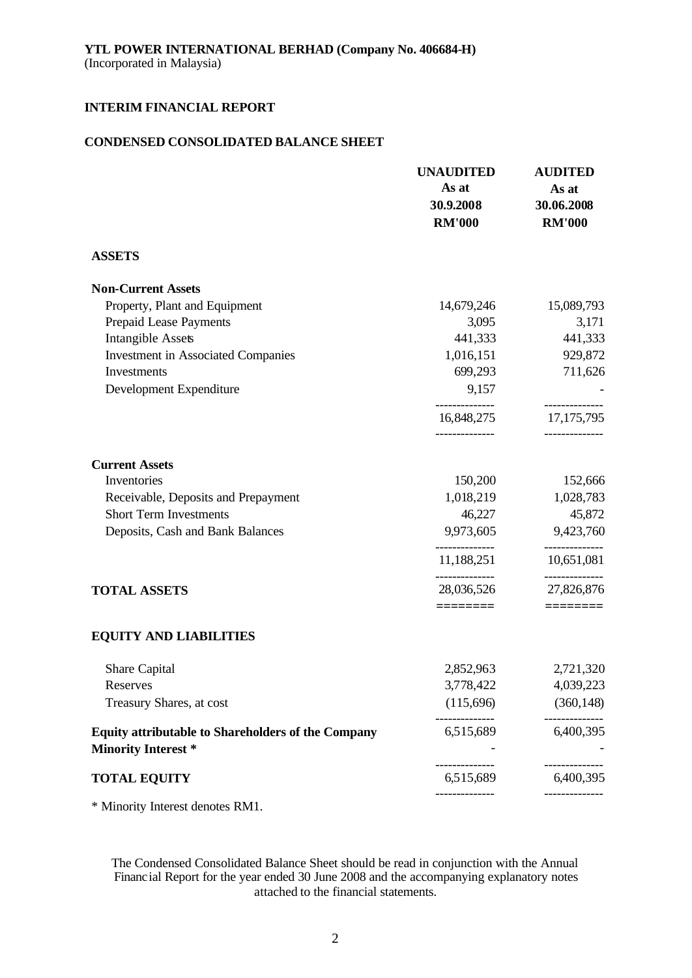## **CONDENSED CONSOLIDATED BALANCE SHEET**

|                                                                                         | <b>UNAUDITED</b><br>As at<br>30.9.2008<br><b>RM'000</b> | <b>AUDITED</b><br>As at<br>30.06.2008<br><b>RM'000</b> |
|-----------------------------------------------------------------------------------------|---------------------------------------------------------|--------------------------------------------------------|
| <b>ASSETS</b>                                                                           |                                                         |                                                        |
| <b>Non-Current Assets</b>                                                               |                                                         |                                                        |
| Property, Plant and Equipment                                                           | 14,679,246                                              | 15,089,793                                             |
| Prepaid Lease Payments                                                                  | 3,095                                                   | 3,171                                                  |
| <b>Intangible Assets</b>                                                                | 441,333                                                 | 441,333                                                |
| <b>Investment in Associated Companies</b>                                               | 1,016,151                                               | 929,872                                                |
| Investments                                                                             | 699,293                                                 | 711,626                                                |
| Development Expenditure                                                                 | 9,157                                                   |                                                        |
|                                                                                         | 16,848,275                                              | 17, 175, 795                                           |
| <b>Current Assets</b>                                                                   |                                                         |                                                        |
| Inventories                                                                             | 150,200                                                 | 152,666                                                |
| Receivable, Deposits and Prepayment                                                     | 1,018,219                                               | 1,028,783                                              |
| <b>Short Term Investments</b>                                                           | 46,227                                                  | 45,872                                                 |
| Deposits, Cash and Bank Balances                                                        | 9,973,605                                               | 9,423,760                                              |
|                                                                                         | 11,188,251                                              | 10,651,081                                             |
| <b>TOTAL ASSETS</b>                                                                     | 28,036,526                                              | 27,826,876                                             |
|                                                                                         | ========                                                |                                                        |
| <b>EQUITY AND LIABILITIES</b>                                                           |                                                         |                                                        |
| Share Capital                                                                           | 2,852,963                                               | 2,721,320                                              |
| Reserves                                                                                | 3,778,422                                               | 4,039,223                                              |
| Treasury Shares, at cost                                                                | (115,696)                                               | (360, 148)                                             |
| <b>Equity attributable to Shareholders of the Company</b><br><b>Minority Interest *</b> | 6,515,689                                               | 6,400,395                                              |
| <b>TOTAL EQUITY</b>                                                                     | 6,515,689                                               | 6,400,395                                              |
|                                                                                         |                                                         |                                                        |

\* Minority Interest denotes RM1.

The Condensed Consolidated Balance Sheet should be read in conjunction with the Annual Financial Report for the year ended 30 June 2008 and the accompanying explanatory notes attached to the financial statements.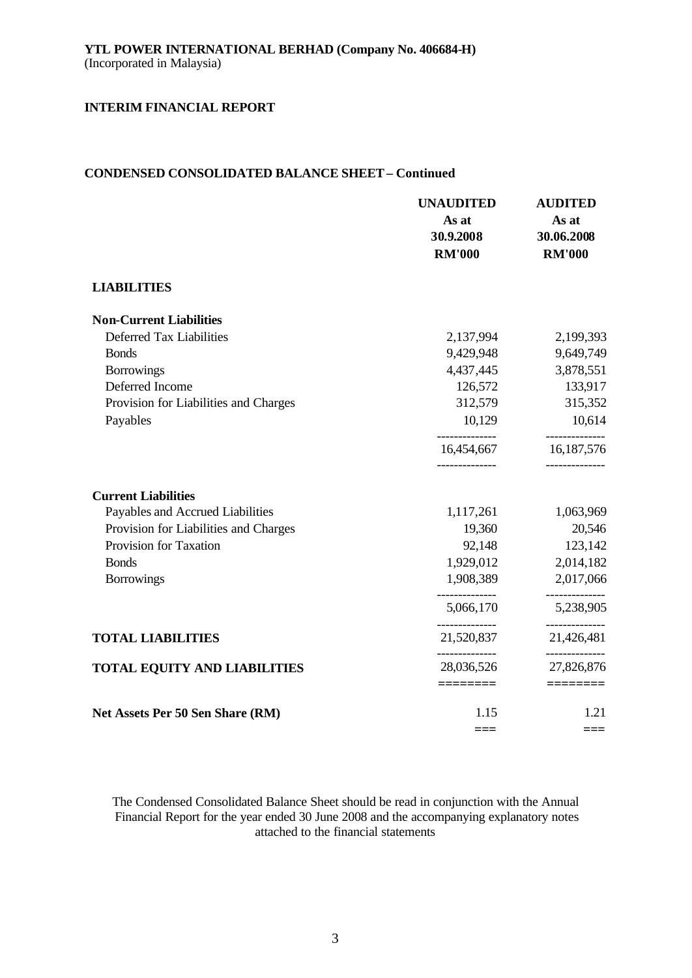## **CONDENSED CONSOLIDATED BALANCE SHEET – Continued**

|                                       | <b>UNAUDITED</b><br>As at<br>30.9.2008<br><b>RM'000</b> | <b>AUDITED</b><br>As at<br>30.06.2008<br><b>RM'000</b> |
|---------------------------------------|---------------------------------------------------------|--------------------------------------------------------|
| <b>LIABILITIES</b>                    |                                                         |                                                        |
| <b>Non-Current Liabilities</b>        |                                                         |                                                        |
| Deferred Tax Liabilities              | 2,137,994                                               | 2,199,393                                              |
| <b>Bonds</b>                          | 9,429,948                                               | 9,649,749                                              |
| <b>Borrowings</b>                     | 4,437,445                                               | 3,878,551                                              |
| Deferred Income                       | 126,572                                                 | 133,917                                                |
| Provision for Liabilities and Charges | 312,579                                                 | 315,352                                                |
| Payables                              | 10,129                                                  | 10,614                                                 |
|                                       | 16,454,667                                              | 16,187,576                                             |
| <b>Current Liabilities</b>            |                                                         |                                                        |
| Payables and Accrued Liabilities      | 1,117,261                                               | 1,063,969                                              |
| Provision for Liabilities and Charges | 19,360                                                  | 20,546                                                 |
| Provision for Taxation                | 92,148                                                  | 123,142                                                |
| <b>Bonds</b>                          | 1,929,012                                               | 2,014,182                                              |
| <b>Borrowings</b>                     | 1,908,389                                               | 2,017,066                                              |
|                                       | 5,066,170                                               | 5,238,905                                              |
| <b>TOTAL LIABILITIES</b>              | 21,520,837                                              | 21,426,481                                             |
| <b>TOTAL EQUITY AND LIABILITIES</b>   | 28,036,526                                              | __________<br>27,826,876                               |
|                                       | ========                                                | ========                                               |
| Net Assets Per 50 Sen Share (RM)      | 1.15                                                    | 1.21                                                   |
|                                       | $==$                                                    | ===                                                    |

The Condensed Consolidated Balance Sheet should be read in conjunction with the Annual Financial Report for the year ended 30 June 2008 and the accompanying explanatory notes attached to the financial statements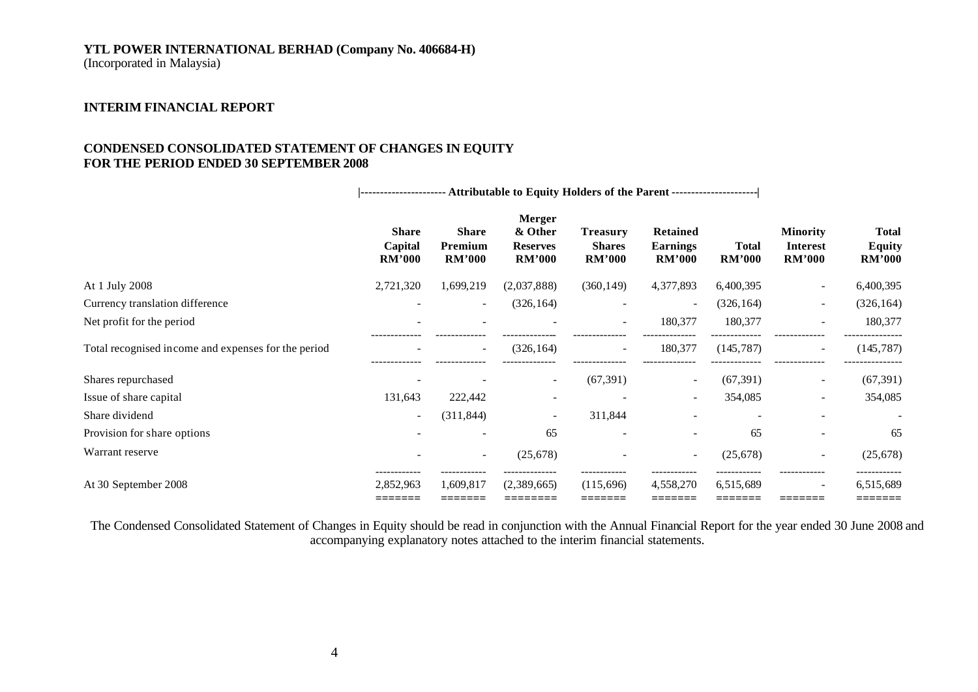## **YTL POWER INTERNATIONAL BERHAD (Company No. 406684-H)**

(Incorporated in Malaysia)

## **INTERIM FINANCIAL REPORT**

## **CONDENSED CONSOLIDATED STATEMENT OF CHANGES IN EQUITY FOR THE PERIOD ENDED 30 SEPTEMBER 2008**

|                                                     | ---------------------- Attributable to Equity Holders of the Parent --------------------- |                                          |                                                              |                                                   |                                                     |                               |                                              |                                                |
|-----------------------------------------------------|-------------------------------------------------------------------------------------------|------------------------------------------|--------------------------------------------------------------|---------------------------------------------------|-----------------------------------------------------|-------------------------------|----------------------------------------------|------------------------------------------------|
|                                                     | <b>Share</b><br>Capital<br><b>RM'000</b>                                                  | <b>Share</b><br>Premium<br><b>RM'000</b> | <b>Merger</b><br>& Other<br><b>Reserves</b><br><b>RM'000</b> | <b>Treasury</b><br><b>Shares</b><br><b>RM'000</b> | <b>Retained</b><br><b>Earnings</b><br><b>RM'000</b> | <b>Total</b><br><b>RM'000</b> | <b>Minority</b><br>Interest<br><b>RM'000</b> | <b>Total</b><br><b>Equity</b><br><b>RM'000</b> |
| At 1 July 2008                                      | 2,721,320                                                                                 | 1,699,219                                | (2,037,888)                                                  | (360, 149)                                        | 4,377,893                                           | 6,400,395                     | $\overline{\phantom{0}}$                     | 6,400,395                                      |
| Currency translation difference                     |                                                                                           | $\sim$                                   | (326, 164)                                                   |                                                   |                                                     | (326, 164)                    | $\overline{\phantom{a}}$                     | (326, 164)                                     |
| Net profit for the period                           |                                                                                           |                                          |                                                              | $\sim$                                            | 180,377                                             | 180,377                       | $\overline{\phantom{a}}$                     | 180,377                                        |
| Total recognised income and expenses for the period |                                                                                           | $\sim$                                   | (326, 164)                                                   | $\sim$                                            | 180,377                                             | (145, 787)                    | $\overline{\phantom{a}}$                     | (145, 787)                                     |
| Shares repurchased                                  |                                                                                           |                                          |                                                              | (67, 391)                                         |                                                     | (67, 391)                     | $\overline{\phantom{a}}$                     | (67, 391)                                      |
| Issue of share capital                              | 131,643                                                                                   | 222,442                                  |                                                              |                                                   | $\overline{\phantom{a}}$                            | 354,085                       | ۰                                            | 354,085                                        |
| Share dividend                                      | $\sim$                                                                                    | (311, 844)                               |                                                              | 311,844                                           |                                                     |                               |                                              |                                                |
| Provision for share options                         |                                                                                           | $\overline{\phantom{a}}$                 | 65                                                           | $\overline{\phantom{a}}$                          |                                                     | 65                            | $\overline{\phantom{0}}$                     | 65                                             |
| Warrant reserve                                     |                                                                                           | $\sim$                                   | (25, 678)                                                    |                                                   | $\overline{\phantom{a}}$                            | (25, 678)                     | $\overline{\phantom{a}}$                     | (25, 678)                                      |
| At 30 September 2008                                | 2,852,963<br>=======                                                                      | 1,609,817<br>=======                     | (2,389,665)<br>========                                      | (115,696)<br>=======                              | 4,558,270<br>=======                                | 6,515,689<br>=======          | $\overline{\phantom{a}}$<br>--------         | 6,515,689<br>=======                           |

The Condensed Consolidated Statement of Changes in Equity should be read in conjunction with the Annual Financial Report for the year ended 30 June 2008 and accompanying explanatory notes attached to the interim financial statements.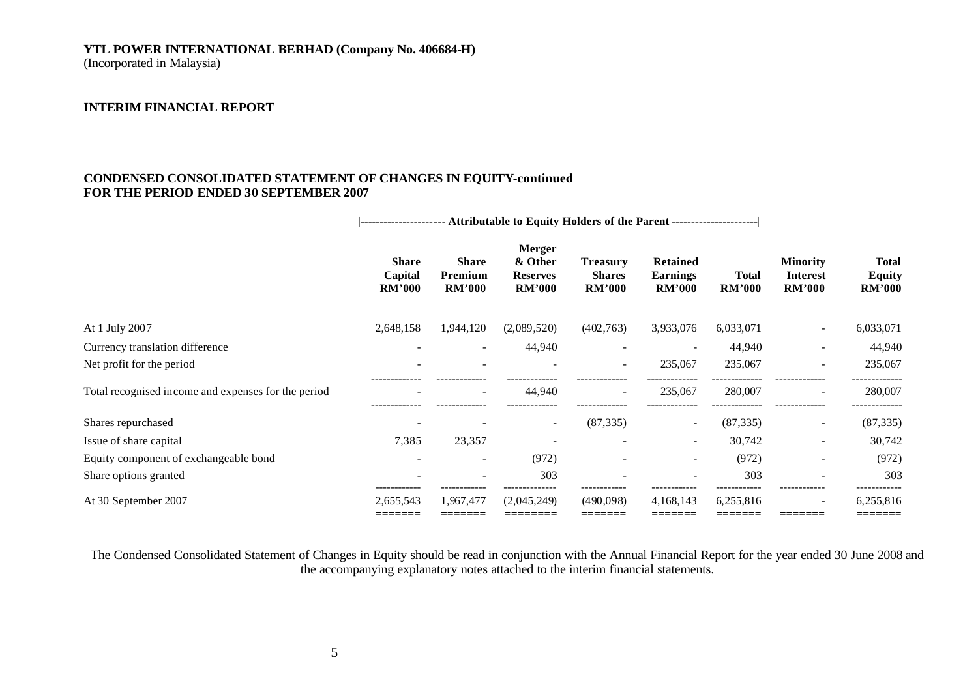# **YTL POWER INTERNATIONAL BERHAD (Company No. 406684-H)**

(Incorporated in Malaysia)

### **INTERIM FINANCIAL REPORT**

### **CONDENSED CONSOLIDATED STATEMENT OF CHANGES IN EQUITY-continued FOR THE PERIOD ENDED 30 SEPTEMBER 2007**

|                                                     | ---------------------- Attributable to Equity Holders of the Parent --------------------- |                                          |                                                       |                                                   |                                                     |                               |                                              |                                                |
|-----------------------------------------------------|-------------------------------------------------------------------------------------------|------------------------------------------|-------------------------------------------------------|---------------------------------------------------|-----------------------------------------------------|-------------------------------|----------------------------------------------|------------------------------------------------|
|                                                     | <b>Share</b><br>Capital<br>RM'000                                                         | <b>Share</b><br>Premium<br><b>RM'000</b> | Merger<br>& Other<br><b>Reserves</b><br><b>RM'000</b> | <b>Treasury</b><br><b>Shares</b><br><b>RM'000</b> | <b>Retained</b><br><b>Earnings</b><br><b>RM'000</b> | <b>Total</b><br><b>RM'000</b> | <b>Minority</b><br><b>Interest</b><br>RM'000 | <b>Total</b><br><b>Equity</b><br><b>RM'000</b> |
| At 1 July 2007                                      | 2,648,158                                                                                 | 1,944,120                                | (2,089,520)                                           | (402,763)                                         | 3,933,076                                           | 6,033,071                     | $\overline{\phantom{a}}$                     | 6,033,071                                      |
| Currency translation difference                     |                                                                                           | $\overline{\phantom{a}}$                 | 44,940                                                | $\overline{\phantom{a}}$                          |                                                     | 44,940                        | $\overline{a}$                               | 44,940                                         |
| Net profit for the period                           |                                                                                           |                                          |                                                       |                                                   | 235,067                                             | 235,067                       |                                              | 235,067                                        |
| Total recognised income and expenses for the period |                                                                                           | $\overline{\phantom{a}}$                 | 44,940                                                | $\overline{\phantom{a}}$                          | 235,067                                             | 280,007                       | $\overline{\phantom{a}}$                     | 280,007                                        |
| Shares repurchased                                  |                                                                                           |                                          | ۰.                                                    | (87, 335)                                         | ۰.                                                  | (87, 335)                     | $\sim$                                       | (87, 335)                                      |
| Issue of share capital                              | 7,385                                                                                     | 23,357                                   |                                                       |                                                   | $\sim$                                              | 30,742                        | $\overline{\phantom{a}}$                     | 30,742                                         |
| Equity component of exchangeable bond               |                                                                                           | $\overline{\phantom{a}}$                 | (972)                                                 |                                                   |                                                     | (972)                         |                                              | (972)                                          |
| Share options granted                               |                                                                                           |                                          | 303                                                   |                                                   |                                                     | 303                           |                                              | 303                                            |
| At 30 September 2007                                | 2,655,543                                                                                 | 1,967,477                                | (2,045,249)                                           | (490,098)                                         | 4,168,143                                           | 6,255,816                     | $\overline{a}$                               | 6,255,816<br>======                            |

The Condensed Consolidated Statement of Changes in Equity should be read in conjunction with the Annual Financial Report for the year ended 30 June 2008 and the accompanying explanatory notes attached to the interim financial statements.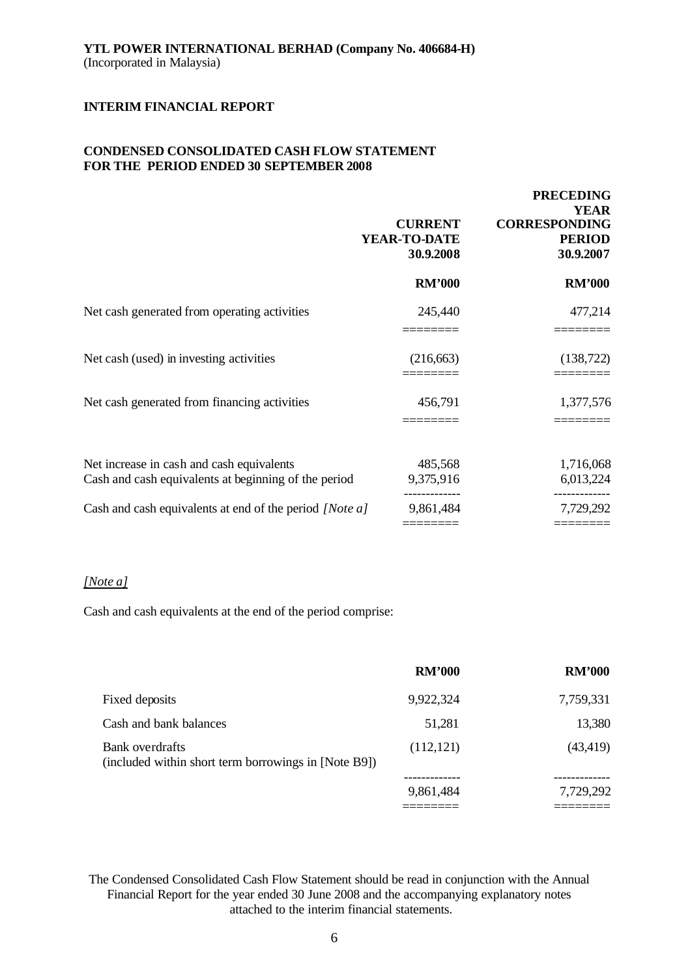### **CONDENSED CONSOLIDATED CASH FLOW STATEMENT FOR THE PERIOD ENDED 30 SEPTEMBER 2008**

|                                                                                                   | <b>CURRENT</b><br>YEAR-TO-DATE<br>30.9.2008 | <b>PRECEDING</b><br><b>YEAR</b><br><b>CORRESPONDING</b><br><b>PERIOD</b><br>30.9.2007 |
|---------------------------------------------------------------------------------------------------|---------------------------------------------|---------------------------------------------------------------------------------------|
|                                                                                                   | <b>RM'000</b>                               | <b>RM'000</b>                                                                         |
| Net cash generated from operating activities                                                      | 245,440                                     | 477,214                                                                               |
| Net cash (used) in investing activities                                                           | (216, 663)                                  | (138, 722)                                                                            |
| Net cash generated from financing activities                                                      | 456,791                                     | 1,377,576                                                                             |
| Net increase in cash and cash equivalents<br>Cash and cash equivalents at beginning of the period | 485,568<br>9,375,916                        | 1,716,068<br>6,013,224                                                                |
| Cash and cash equivalents at end of the period [Note a]                                           | 9,861,484                                   | 7,729,292                                                                             |

## *[Note a]*

Cash and cash equivalents at the end of the period comprise:

|                                                                         | <b>RM'000</b> | <b>RM'000</b> |
|-------------------------------------------------------------------------|---------------|---------------|
| Fixed deposits                                                          | 9,922,324     | 7,759,331     |
| Cash and bank balances                                                  | 51,281        | 13,380        |
| Bank overdrafts<br>(included within short term borrowings in [Note B9]) | (112, 121)    | (43, 419)     |
|                                                                         | 9,861,484     | 7,729,292     |
|                                                                         |               |               |

The Condensed Consolidated Cash Flow Statement should be read in conjunction with the Annual Financial Report for the year ended 30 June 2008 and the accompanying explanatory notes attached to the interim financial statements.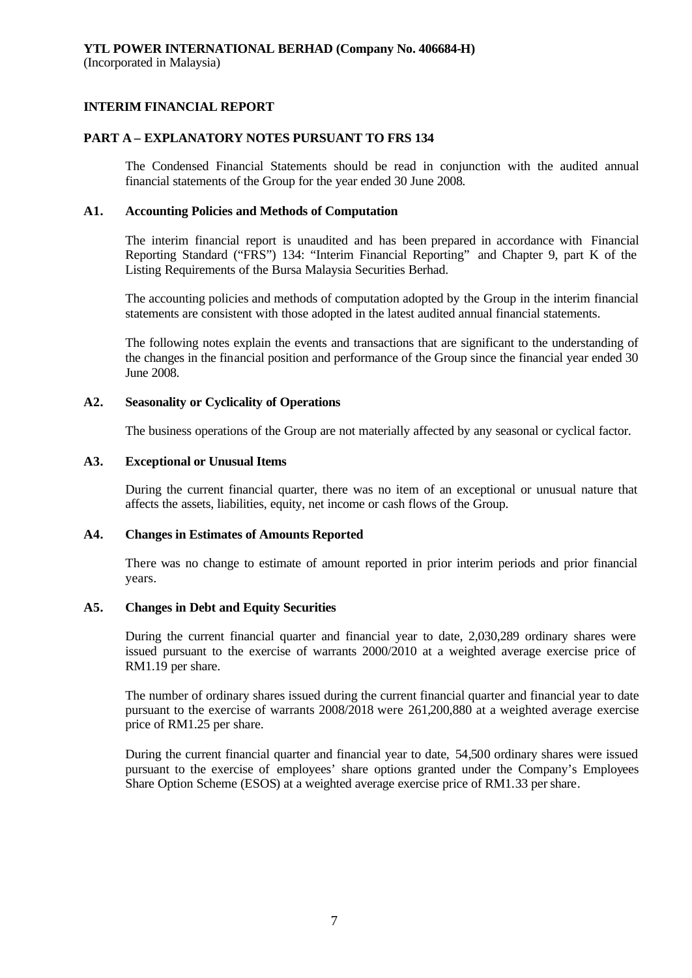### **PART A – EXPLANATORY NOTES PURSUANT TO FRS 134**

The Condensed Financial Statements should be read in conjunction with the audited annual financial statements of the Group for the year ended 30 June 2008.

#### **A1. Accounting Policies and Methods of Computation**

The interim financial report is unaudited and has been prepared in accordance with Financial Reporting Standard ("FRS") 134: "Interim Financial Reporting" and Chapter 9, part K of the Listing Requirements of the Bursa Malaysia Securities Berhad.

The accounting policies and methods of computation adopted by the Group in the interim financial statements are consistent with those adopted in the latest audited annual financial statements.

The following notes explain the events and transactions that are significant to the understanding of the changes in the financial position and performance of the Group since the financial year ended 30 June 2008.

### **A2. Seasonality or Cyclicality of Operations**

The business operations of the Group are not materially affected by any seasonal or cyclical factor.

### **A3. Exceptional or Unusual Items**

During the current financial quarter, there was no item of an exceptional or unusual nature that affects the assets, liabilities, equity, net income or cash flows of the Group.

### **A4. Changes in Estimates of Amounts Reported**

There was no change to estimate of amount reported in prior interim periods and prior financial years.

### **A5. Changes in Debt and Equity Securities**

During the current financial quarter and financial year to date, 2,030,289 ordinary shares were issued pursuant to the exercise of warrants 2000/2010 at a weighted average exercise price of RM1.19 per share.

The number of ordinary shares issued during the current financial quarter and financial year to date pursuant to the exercise of warrants 2008/2018 were 261,200,880 at a weighted average exercise price of RM1.25 per share.

During the current financial quarter and financial year to date, 54,500 ordinary shares were issued pursuant to the exercise of employees' share options granted under the Company's Employees Share Option Scheme (ESOS) at a weighted average exercise price of RM1.33 per share.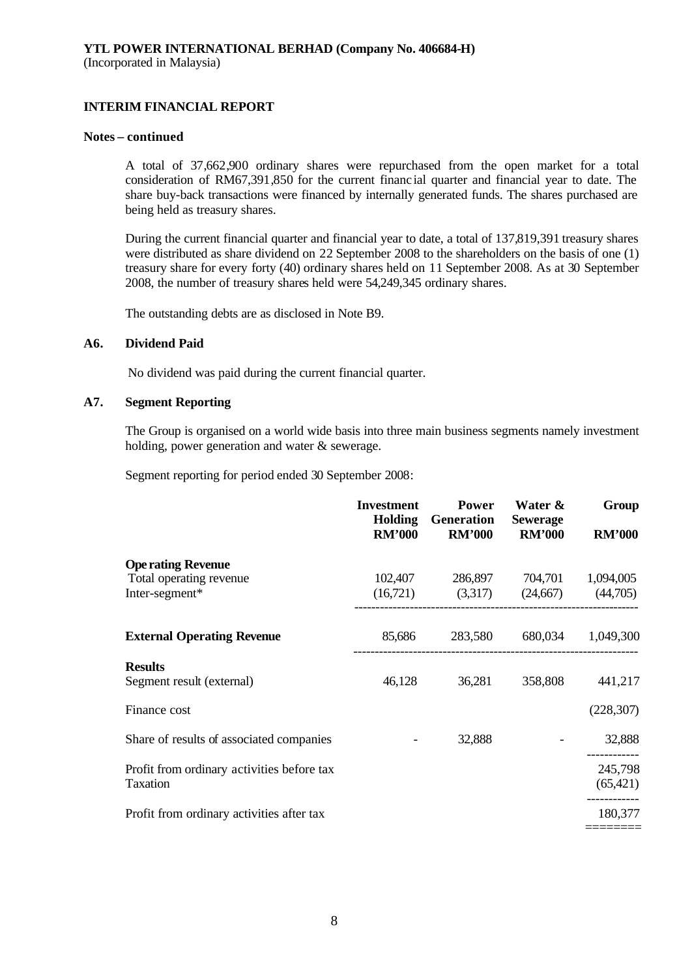#### **Notes – continued**

A total of 37,662,900 ordinary shares were repurchased from the open market for a total consideration of RM67,391,850 for the current financial quarter and financial year to date. The share buy-back transactions were financed by internally generated funds. The shares purchased are being held as treasury shares.

During the current financial quarter and financial year to date, a total of 137,819,391 treasury shares were distributed as share dividend on 22 September 2008 to the shareholders on the basis of one (1) treasury share for every forty (40) ordinary shares held on 11 September 2008. As at 30 September 2008, the number of treasury shares held were 54,249,345 ordinary shares.

The outstanding debts are as disclosed in Note B9.

### **A6. Dividend Paid**

No dividend was paid during the current financial quarter.

## **A7. Segment Reporting**

The Group is organised on a world wide basis into three main business segments namely investment holding, power generation and water & sewerage.

Segment reporting for period ended 30 September 2008:

|                                            | <b>Investment</b><br><b>Holding</b><br><b>RM'000</b> | <b>Power</b><br><b>Generation</b><br><b>RM'000</b> | Water &<br><b>Sewerage</b><br><b>RM'000</b> | Group<br><b>RM'000</b> |
|--------------------------------------------|------------------------------------------------------|----------------------------------------------------|---------------------------------------------|------------------------|
| <b>Ope rating Revenue</b>                  |                                                      |                                                    |                                             |                        |
| Total operating revenue                    |                                                      | 102,407 286,897 704,701 1,094,005                  |                                             |                        |
| Inter-segment*                             |                                                      | $(16,721)$ $(3,317)$ $(24,667)$ $(44,705)$         |                                             |                        |
| <b>External Operating Revenue</b>          | 85,686                                               |                                                    | 283,580 680,034 1,049,300                   |                        |
| <b>Results</b>                             |                                                      |                                                    |                                             |                        |
| Segment result (external)                  | 46,128                                               | 36,281                                             | 358,808                                     | 441,217                |
| Finance cost                               |                                                      |                                                    |                                             | (228, 307)             |
| Share of results of associated companies   |                                                      | 32,888                                             |                                             | 32,888                 |
| Profit from ordinary activities before tax |                                                      |                                                    |                                             | 245,798                |
| Taxation                                   |                                                      |                                                    |                                             | (65, 421)              |
| Profit from ordinary activities after tax  |                                                      |                                                    |                                             | 180,377                |
|                                            |                                                      |                                                    |                                             |                        |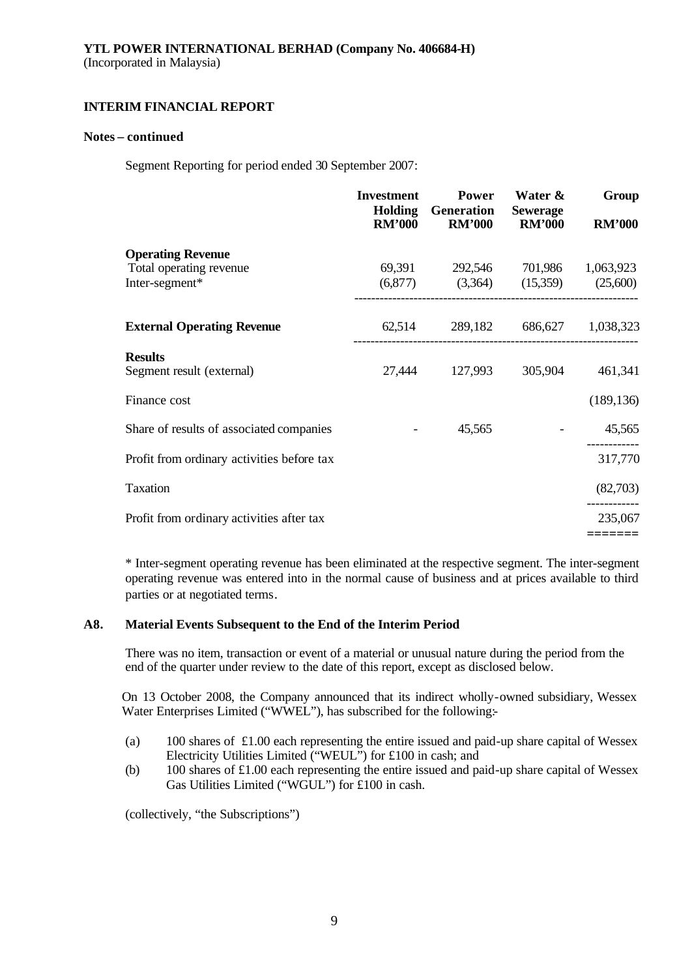### **Notes – continued**

Segment Reporting for period ended 30 September 2007:

|                                            | <b>Investment</b><br><b>RM'000</b> | <b>Power</b><br><b>Holding</b> Generation<br><b>RM'000</b> | Water &<br><b>Sewerage</b><br><b>RM'000</b> | Group<br><b>RM'000</b> |
|--------------------------------------------|------------------------------------|------------------------------------------------------------|---------------------------------------------|------------------------|
| <b>Operating Revenue</b>                   |                                    |                                                            |                                             |                        |
| Total operating revenue                    |                                    | 69,391 292,546 701,986 1,063,923                           |                                             |                        |
| Inter-segment*                             |                                    | $(6,877)$ $(3,364)$ $(15,359)$ $(25,600)$                  |                                             |                        |
| <b>External Operating Revenue</b>          |                                    | 62,514 289,182 686,627 1,038,323                           |                                             |                        |
| <b>Results</b>                             |                                    |                                                            |                                             |                        |
| Segment result (external)                  | 27,444                             |                                                            | 127,993 305,904                             | 461,341                |
| Finance cost                               |                                    |                                                            |                                             | (189, 136)             |
| Share of results of associated companies   |                                    | 45,565                                                     |                                             | 45,565                 |
| Profit from ordinary activities before tax |                                    |                                                            |                                             | 317,770                |
| Taxation                                   |                                    |                                                            |                                             | (82,703)               |
| Profit from ordinary activities after tax  |                                    |                                                            |                                             | 235,067                |
|                                            |                                    |                                                            |                                             |                        |

\* Inter-segment operating revenue has been eliminated at the respective segment. The inter-segment operating revenue was entered into in the normal cause of business and at prices available to third parties or at negotiated terms.

### **A8. Material Events Subsequent to the End of the Interim Period**

There was no item, transaction or event of a material or unusual nature during the period from the end of the quarter under review to the date of this report, except as disclosed below.

On 13 October 2008, the Company announced that its indirect wholly-owned subsidiary, Wessex Water Enterprises Limited ("WWEL"), has subscribed for the following:-

- (a) 100 shares of £1.00 each representing the entire issued and paid-up share capital of Wessex Electricity Utilities Limited ("WEUL") for £100 in cash; and
- (b) 100 shares of £1.00 each representing the entire issued and paid-up share capital of Wessex Gas Utilities Limited ("WGUL") for £100 in cash.

(collectively, "the Subscriptions")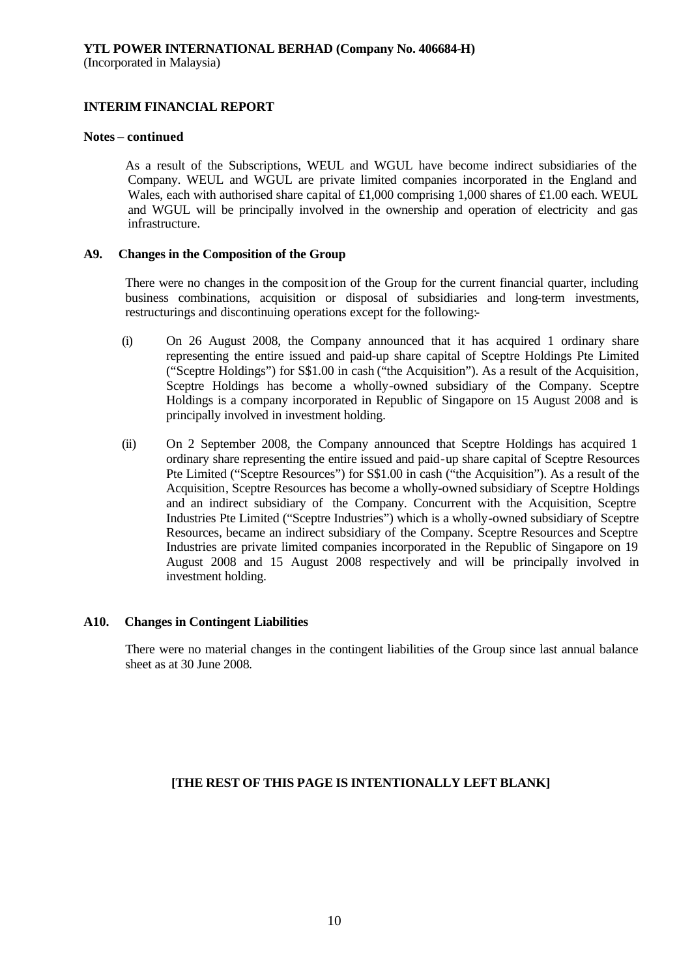### **Notes – continued**

As a result of the Subscriptions, WEUL and WGUL have become indirect subsidiaries of the Company. WEUL and WGUL are private limited companies incorporated in the England and Wales, each with authorised share capital of £1,000 comprising 1,000 shares of £1.00 each. WEUL and WGUL will be principally involved in the ownership and operation of electricity and gas infrastructure.

### **A9. Changes in the Composition of the Group**

There were no changes in the composition of the Group for the current financial quarter, including business combinations, acquisition or disposal of subsidiaries and long-term investments, restructurings and discontinuing operations except for the following:-

- (i) On 26 August 2008, the Company announced that it has acquired 1 ordinary share representing the entire issued and paid-up share capital of Sceptre Holdings Pte Limited ("Sceptre Holdings") for S\$1.00 in cash ("the Acquisition"). As a result of the Acquisition, Sceptre Holdings has become a wholly-owned subsidiary of the Company. Sceptre Holdings is a company incorporated in Republic of Singapore on 15 August 2008 and is principally involved in investment holding.
- (ii) On 2 September 2008, the Company announced that Sceptre Holdings has acquired 1 ordinary share representing the entire issued and paid-up share capital of Sceptre Resources Pte Limited ("Sceptre Resources") for S\$1.00 in cash ("the Acquisition"). As a result of the Acquisition, Sceptre Resources has become a wholly-owned subsidiary of Sceptre Holdings and an indirect subsidiary of the Company. Concurrent with the Acquisition, Sceptre Industries Pte Limited ("Sceptre Industries") which is a wholly-owned subsidiary of Sceptre Resources, became an indirect subsidiary of the Company. Sceptre Resources and Sceptre Industries are private limited companies incorporated in the Republic of Singapore on 19 August 2008 and 15 August 2008 respectively and will be principally involved in investment holding.

### **A10. Changes in Contingent Liabilities**

There were no material changes in the contingent liabilities of the Group since last annual balance sheet as at 30 June 2008.

### **[THE REST OF THIS PAGE IS INTENTIONALLY LEFT BLANK]**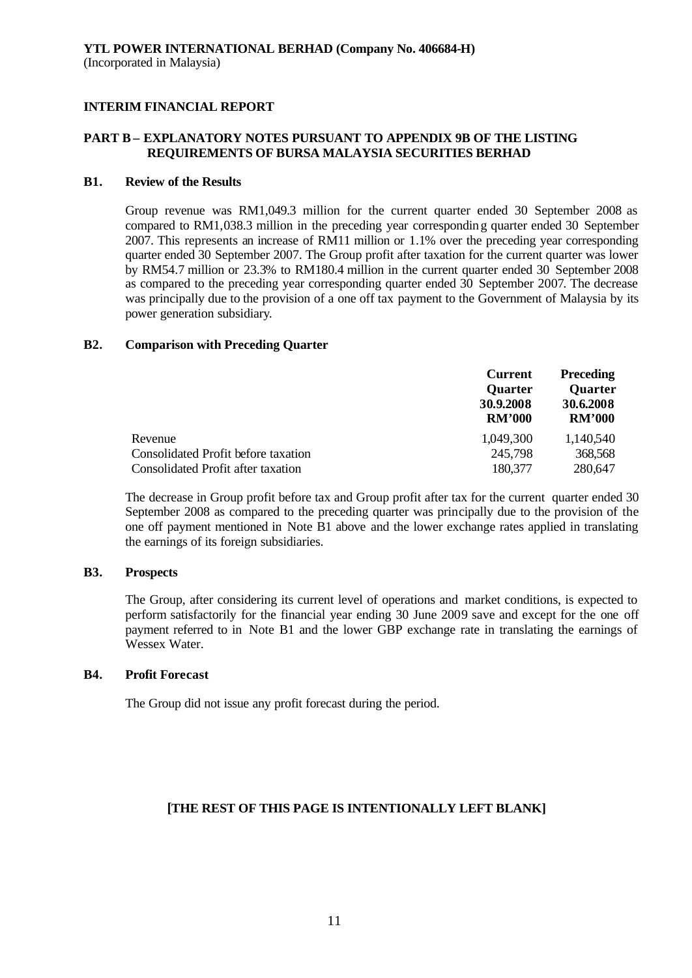## **PART B – EXPLANATORY NOTES PURSUANT TO APPENDIX 9B OF THE LISTING REQUIREMENTS OF BURSA MALAYSIA SECURITIES BERHAD**

### **B1. Review of the Results**

Group revenue was RM1,049.3 million for the current quarter ended 30 September 2008 as compared to RM1,038.3 million in the preceding year corresponding quarter ended 30 September 2007. This represents an increase of RM11 million or 1.1% over the preceding year corresponding quarter ended 30 September 2007. The Group profit after taxation for the current quarter was lower by RM54.7 million or 23.3% to RM180.4 million in the current quarter ended 30 September 2008 as compared to the preceding year corresponding quarter ended 30 September 2007. The decrease was principally due to the provision of a one off tax payment to the Government of Malaysia by its power generation subsidiary.

### **B2. Comparison with Preceding Quarter**

|                                            | <b>Current</b><br><b>Quarter</b><br>30.9.2008<br><b>RM'000</b> | <b>Preceding</b><br><b>Quarter</b><br>30.6.2008<br><b>RM'000</b> |
|--------------------------------------------|----------------------------------------------------------------|------------------------------------------------------------------|
| Revenue                                    | 1,049,300                                                      | 1,140,540                                                        |
| <b>Consolidated Profit before taxation</b> | 245,798                                                        | 368,568                                                          |
| <b>Consolidated Profit after taxation</b>  | 180,377                                                        | 280,647                                                          |

The decrease in Group profit before tax and Group profit after tax for the current quarter ended 30 September 2008 as compared to the preceding quarter was principally due to the provision of the one off payment mentioned in Note B1 above and the lower exchange rates applied in translating the earnings of its foreign subsidiaries.

### **B3. Prospects**

The Group, after considering its current level of operations and market conditions, is expected to perform satisfactorily for the financial year ending 30 June 2009 save and except for the one off payment referred to in Note B1 and the lower GBP exchange rate in translating the earnings of Wessex Water.

### **B4. Profit Forecast**

The Group did not issue any profit forecast during the period.

## **[THE REST OF THIS PAGE IS INTENTIONALLY LEFT BLANK]**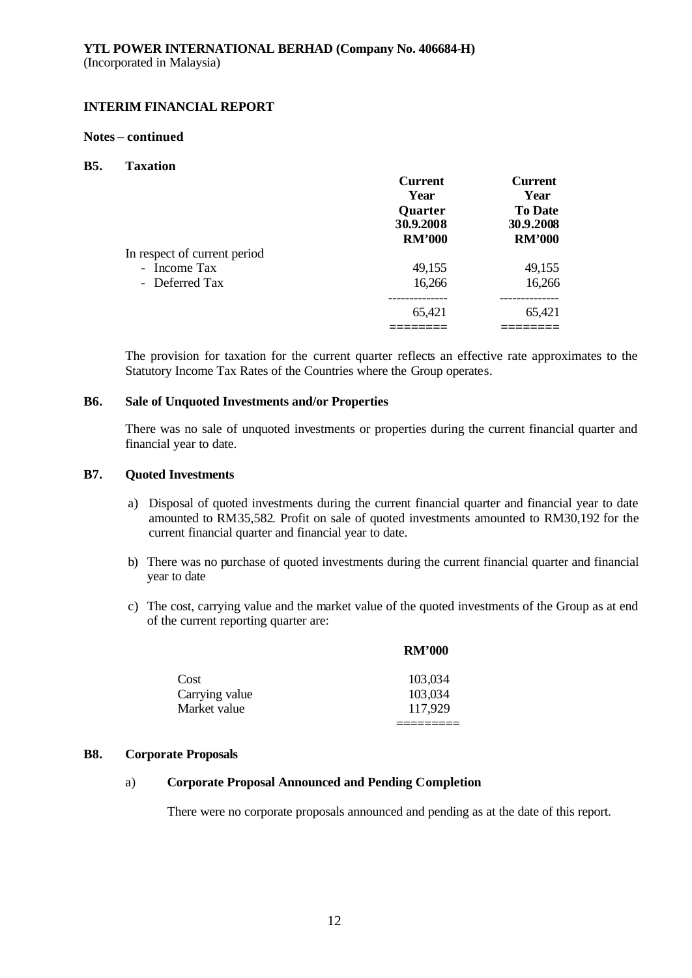### **Notes – continued**

### **B5. Taxation**

|                              | <b>Current</b> | <b>Current</b> |
|------------------------------|----------------|----------------|
|                              | Year           | Year           |
|                              | <b>Quarter</b> | <b>To Date</b> |
|                              | 30.9.2008      | 30.9.2008      |
|                              | <b>RM'000</b>  | <b>RM'000</b>  |
| In respect of current period |                |                |
| - Income Tax                 | 49,155         | 49,155         |
| - Deferred Tax               | 16,266         | 16,266         |
|                              | ----------     | ----------     |
|                              | 65,421         | 65,421         |
|                              |                |                |

The provision for taxation for the current quarter reflects an effective rate approximates to the Statutory Income Tax Rates of the Countries where the Group operates.

### **B6. Sale of Unquoted Investments and/or Properties**

There was no sale of unquoted investments or properties during the current financial quarter and financial year to date.

### **B7. Quoted Investments**

- a) Disposal of quoted investments during the current financial quarter and financial year to date amounted to RM35,582. Profit on sale of quoted investments amounted to RM30,192 for the current financial quarter and financial year to date.
- b) There was no purchase of quoted investments during the current financial quarter and financial year to date
- c) The cost, carrying value and the market value of the quoted investments of the Group as at end of the current reporting quarter are:

|                | <b>RM'000</b> |
|----------------|---------------|
| Cost           | 103,034       |
| Carrying value | 103,034       |
| Market value   | 117,929       |
|                |               |

#### **B8. Corporate Proposals**

## a) **Corporate Proposal Announced and Pending Completion**

There were no corporate proposals announced and pending as at the date of this report.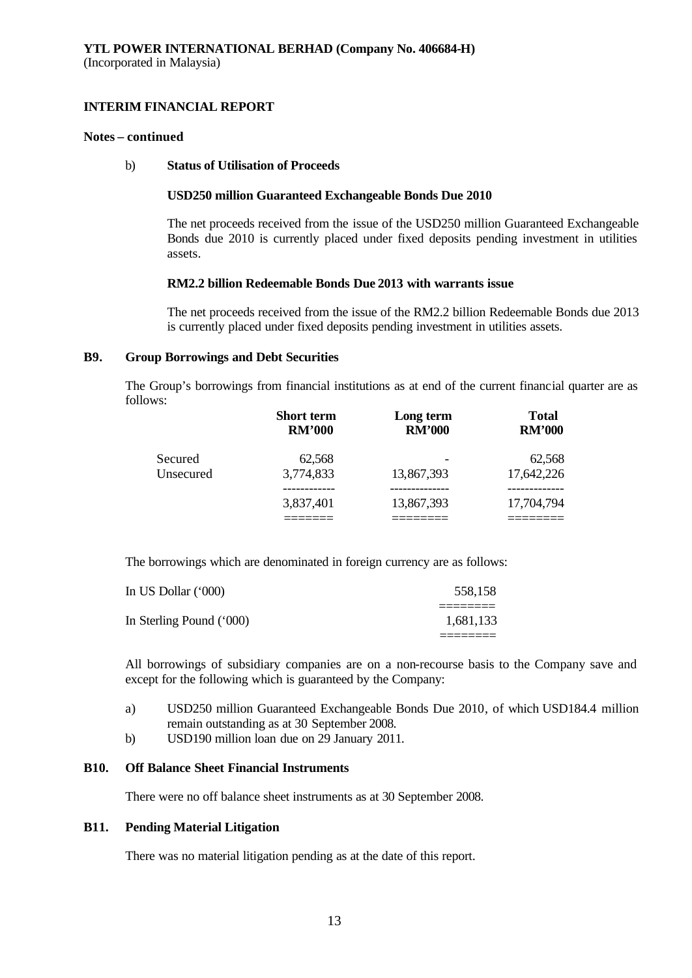### **Notes – continued**

### b) **Status of Utilisation of Proceeds**

### **USD250 million Guaranteed Exchangeable Bonds Due 2010**

The net proceeds received from the issue of the USD250 million Guaranteed Exchangeable Bonds due 2010 is currently placed under fixed deposits pending investment in utilities assets.

### **RM2.2 billion Redeemable Bonds Due 2013 with warrants issue**

The net proceeds received from the issue of the RM2.2 billion Redeemable Bonds due 2013 is currently placed under fixed deposits pending investment in utilities assets.

### **B9. Group Borrowings and Debt Securities**

The Group's borrowings from financial institutions as at end of the current financial quarter are as follows:

|           | <b>Short term</b><br><b>RM'000</b> | Long term<br><b>RM'000</b> | <b>Total</b><br><b>RM'000</b> |
|-----------|------------------------------------|----------------------------|-------------------------------|
| Secured   | 62,568                             |                            | 62,568                        |
| Unsecured | 3,774,833                          | 13,867,393                 | 17,642,226                    |
|           |                                    |                            |                               |
|           | 3,837,401                          | 13,867,393                 | 17,704,794                    |
|           |                                    |                            |                               |

The borrowings which are denominated in foreign currency are as follows:

| In US Dollar (*000)      | 558,158   |
|--------------------------|-----------|
| In Sterling Pound ('000) | 1,681,133 |
|                          |           |

All borrowings of subsidiary companies are on a non-recourse basis to the Company save and except for the following which is guaranteed by the Company:

- a) USD250 million Guaranteed Exchangeable Bonds Due 2010, of which USD184.4 million remain outstanding as at 30 September 2008.
- b) USD190 million loan due on 29 January 2011.

### **B10. Off Balance Sheet Financial Instruments**

There were no off balance sheet instruments as at 30 September 2008.

### **B11. Pending Material Litigation**

There was no material litigation pending as at the date of this report.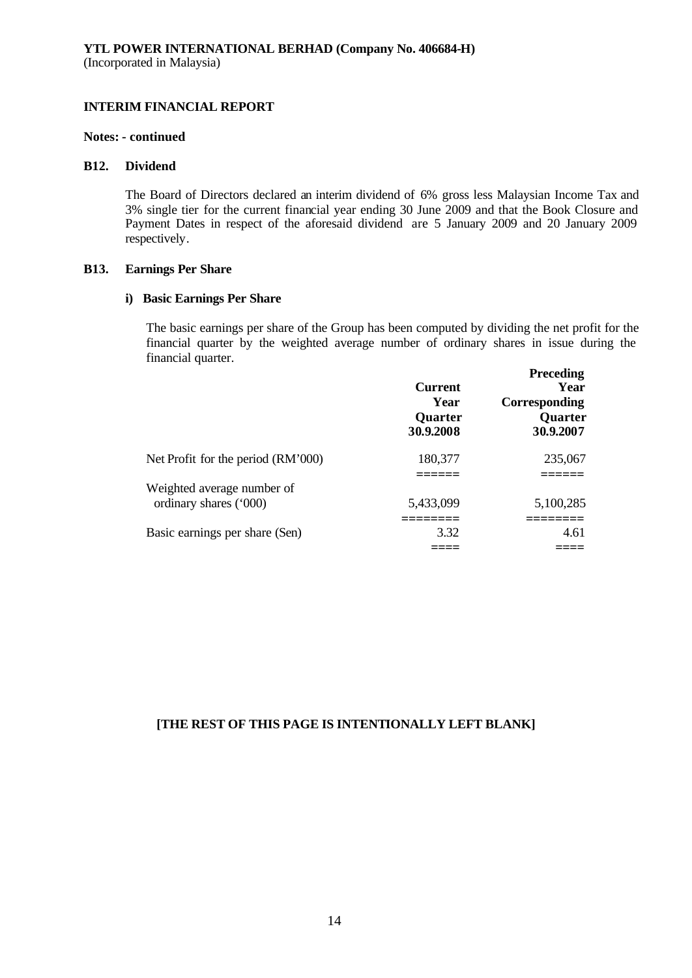#### **Notes: - continued**

#### **B12. Dividend**

The Board of Directors declared an interim dividend of 6% gross less Malaysian Income Tax and 3% single tier for the current financial year ending 30 June 2009 and that the Book Closure and Payment Dates in respect of the aforesaid dividend are 5 January 2009 and 20 January 2009 respectively.

### **B13. Earnings Per Share**

### **i) Basic Earnings Per Share**

The basic earnings per share of the Group has been computed by dividing the net profit for the financial quarter by the weighted average number of ordinary shares in issue during the financial quarter.

|                                    | <b>Current</b><br>Year<br>Quarter<br>30.9.2008 | <b>Preceding</b><br>Year<br>Corresponding<br>Quarter<br>30.9.2007 |
|------------------------------------|------------------------------------------------|-------------------------------------------------------------------|
| Net Profit for the period (RM'000) | 180,377                                        | 235,067                                                           |
| Weighted average number of         |                                                |                                                                   |
| ordinary shares ('000)             | 5,433,099                                      | 5,100,285                                                         |
| Basic earnings per share (Sen)     | 3.32                                           | 4.61                                                              |
|                                    |                                                |                                                                   |

## **[THE REST OF THIS PAGE IS INTENTIONALLY LEFT BLANK]**